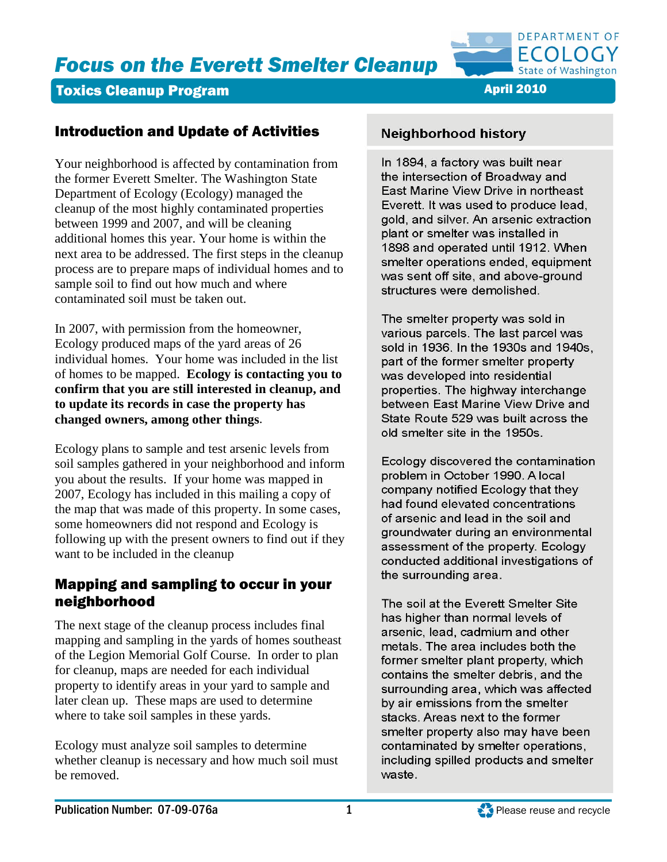

## **Toxics Cleanup Program April 2010** April 2010

# Introduction and Update of Activities

Your neighborhood is affected by contamination from the former Everett Smelter. The Washington State Department of Ecology (Ecology) managed the cleanup of the most highly contaminated properties between 1999 and 2007, and will be cleaning additional homes this year. Your home is within the next area to be addressed. The first steps in the cleanup process are to prepare maps of individual homes and to sample soil to find out how much and where contaminated soil must be taken out.

In 2007, with permission from the homeowner, Ecology produced maps of the yard areas of 26 individual homes. Your home was included in the list of homes to be mapped. **Ecology is contacting you to confirm that you are still interested in cleanup, and to update its records in case the property has changed owners, among other things**.

Ecology plans to sample and test arsenic levels from soil samples gathered in your neighborhood and inform you about the results. If your home was mapped in 2007, Ecology has included in this mailing a copy of the map that was made of this property. In some cases, some homeowners did not respond and Ecology is following up with the present owners to find out if they want to be included in the cleanup

## Mapping and sampling to occur in your neighborhood

The next stage of the cleanup process includes final mapping and sampling in the yards of homes southeast of the Legion Memorial Golf Course. In order to plan for cleanup, maps are needed for each individual property to identify areas in your yard to sample and later clean up. These maps are used to determine where to take soil samples in these yards.

Ecology must analyze soil samples to determine whether cleanup is necessary and how much soil must be removed.

# **Neighborhood history**

In 1894, a factory was built near the intersection of Broadway and East Marine View Drive in northeast Everett. It was used to produce lead, gold, and silver. An arsenic extraction plant or smelter was installed in 1898 and operated until 1912. When smelter operations ended, equipment was sent off site, and above-ground structures were demolished.

The smelter property was sold in various parcels. The last parcel was sold in 1936. In the 1930s and 1940s, part of the former smelter property was developed into residential properties. The highway interchange between East Marine View Drive and State Route 529 was built across the old smelter site in the 1950s.

Ecology discovered the contamination problem in October 1990. A local company notified Ecology that they had found elevated concentrations of arsenic and lead in the soil and groundwater during an environmental assessment of the property. Ecology conducted additional investigations of the surrounding area.

The soil at the Everett Smelter Site has higher than normal levels of arsenic, lead, cadmium and other metals. The area includes both the former smelter plant property, which contains the smelter debris, and the surrounding area, which was affected by air emissions from the smelter stacks. Areas next to the former smelter property also may have been contaminated by smelter operations, including spilled products and smelter waste.